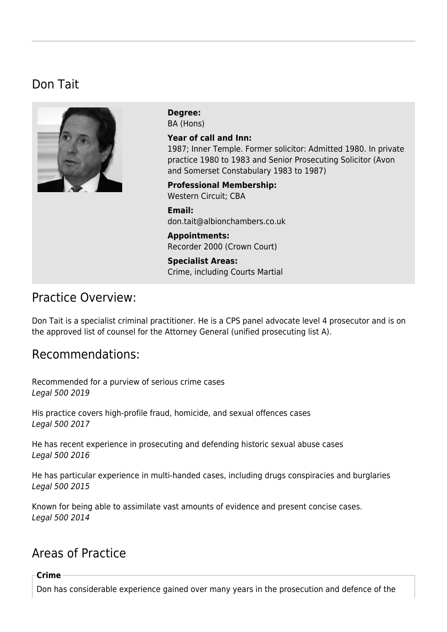## Don Tait



**Degree:**  BA (Hons)

**Year of call and Inn:**  1987; Inner Temple. Former solicitor: Admitted 1980. In private practice 1980 to 1983 and Senior Prosecuting Solicitor (Avon and Somerset Constabulary 1983 to 1987)

**Professional Membership:**  Western Circuit; CBA

**Email:**  [don.tait@albionchambers.co.uk](mailto:don.tait@albionchambers.co.uk)

**Appointments:**  Recorder 2000 (Crown Court)

**Specialist Areas:**  [Crime, including Courts Martial](https://www.albionchambers.co.uk/specialist-areas/crime-including-courts-martial)

### Practice Overview:

Don Tait is a specialist criminal practitioner. He is a CPS panel advocate level 4 prosecutor and is on the approved list of counsel for the Attorney General (unified prosecuting list A).

## Recommendations:

Recommended for a purview of serious crime cases Legal 500 2019

His practice covers high-profile fraud, homicide, and sexual offences cases Legal 500 2017

He has recent experience in prosecuting and defending historic sexual abuse cases Legal 500 2016

He has particular experience in multi-handed cases, including drugs conspiracies and burglaries Legal 500 2015

Known for being able to assimilate vast amounts of evidence and present concise cases. Legal 500 2014

# Areas of Practice

#### **Crime**

Don has considerable experience gained over many years in the prosecution and defence of the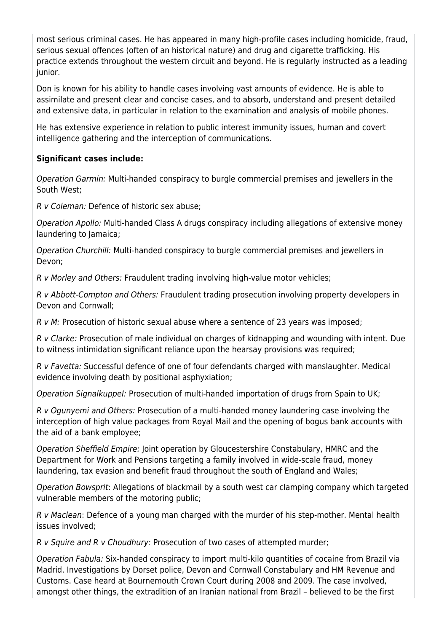most serious criminal cases. He has appeared in many high-profile cases including homicide, fraud, serious sexual offences (often of an historical nature) and drug and cigarette trafficking. His practice extends throughout the western circuit and beyond. He is regularly instructed as a leading junior.

Don is known for his ability to handle cases involving vast amounts of evidence. He is able to assimilate and present clear and concise cases, and to absorb, understand and present detailed and extensive data, in particular in relation to the examination and analysis of mobile phones.

He has extensive experience in relation to public interest immunity issues, human and covert intelligence gathering and the interception of communications.

### **Significant cases include:**

Operation Garmin: Multi-handed conspiracy to burgle commercial premises and jewellers in the South West;

R v Coleman: Defence of historic sex abuse;

Operation Apollo: Multi-handed Class A drugs conspiracy including allegations of extensive money laundering to Jamaica;

Operation Churchill: Multi-handed conspiracy to burgle commercial premises and jewellers in Devon;

R v Morley and Others: Fraudulent trading involving high-value motor vehicles;

R v Abbott-Compton and Others: Fraudulent trading prosecution involving property developers in Devon and Cornwall;

R v M: Prosecution of historic sexual abuse where a sentence of 23 years was imposed;

R v Clarke: Prosecution of male individual on charges of kidnapping and wounding with intent. Due to witness intimidation significant reliance upon the hearsay provisions was required;

R v Favetta: Successful defence of one of four defendants charged with manslaughter. Medical evidence involving death by positional asphyxiation;

Operation SignalkuppeI: Prosecution of multi-handed importation of drugs from Spain to UK;

R v Ogunyemi and Others: Prosecution of a multi-handed money laundering case involving the interception of high value packages from Royal Mail and the opening of bogus bank accounts with the aid of a bank employee;

Operation Sheffield Empire: Joint operation by Gloucestershire Constabulary, HMRC and the Department for Work and Pensions targeting a family involved in wide-scale fraud, money laundering, tax evasion and benefit fraud throughout the south of England and Wales;

Operation Bowsprit: Allegations of blackmail by a south west car clamping company which targeted vulnerable members of the motoring public;

R v Maclean: Defence of a young man charged with the murder of his step-mother. Mental health issues involved;

R v Squire and R v Choudhury: Prosecution of two cases of attempted murder;

Operation Fabula: Six-handed conspiracy to import multi-kilo quantities of cocaine from Brazil via Madrid. Investigations by Dorset police, Devon and Cornwall Constabulary and HM Revenue and Customs. Case heard at Bournemouth Crown Court during 2008 and 2009. The case involved, amongst other things, the extradition of an Iranian national from Brazil – believed to be the first